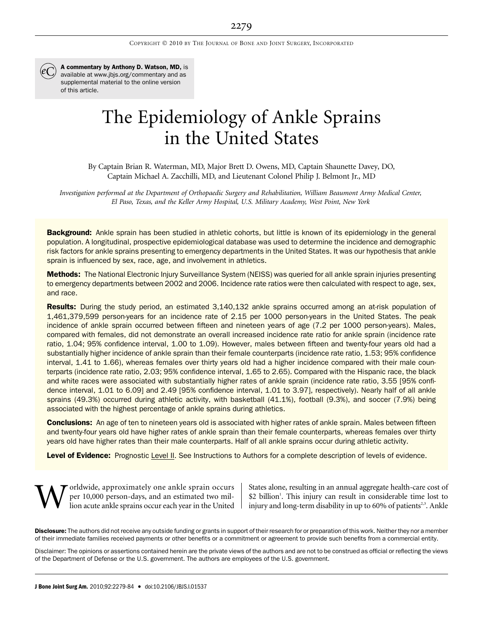

A commentary by Anthony D. Watson, MD, is available at www.jbjs.org/commentary and as supplemental material to the online version of this article.

# The Epidemiology of Ankle Sprains in the United States

By Captain Brian R. Waterman, MD, Major Brett D. Owens, MD, Captain Shaunette Davey, DO, Captain Michael A. Zacchilli, MD, and Lieutenant Colonel Philip J. Belmont Jr., MD

Investigation performed at the Department of Orthopaedic Surgery and Rehabilitation, William Beaumont Army Medical Center, El Paso, Texas, and the Keller Army Hospital, U.S. Military Academy, West Point, New York

Background: Ankle sprain has been studied in athletic cohorts, but little is known of its epidemiology in the general population. A longitudinal, prospective epidemiological database was used to determine the incidence and demographic risk factors for ankle sprains presenting to emergency departments in the United States. It was our hypothesis that ankle sprain is influenced by sex, race, age, and involvement in athletics.

Methods: The National Electronic Injury Surveillance System (NEISS) was queried for all ankle sprain injuries presenting to emergency departments between 2002 and 2006. Incidence rate ratios were then calculated with respect to age, sex, and race.

Results: During the study period, an estimated 3,140,132 ankle sprains occurred among an at-risk population of 1,461,379,599 person-years for an incidence rate of 2.15 per 1000 person-years in the United States. The peak incidence of ankle sprain occurred between fifteen and nineteen years of age (7.2 per 1000 person-years). Males, compared with females, did not demonstrate an overall increased incidence rate ratio for ankle sprain (incidence rate ratio, 1.04; 95% confidence interval, 1.00 to 1.09). However, males between fifteen and twenty-four years old had a substantially higher incidence of ankle sprain than their female counterparts (incidence rate ratio, 1.53; 95% confidence interval, 1.41 to 1.66), whereas females over thirty years old had a higher incidence compared with their male counterparts (incidence rate ratio, 2.03; 95% confidence interval, 1.65 to 2.65). Compared with the Hispanic race, the black and white races were associated with substantially higher rates of ankle sprain (incidence rate ratio, 3.55 [95% confidence interval, 1.01 to 6.09] and 2.49 [95% confidence interval, 1.01 to 3.97], respectively). Nearly half of all ankle sprains (49.3%) occurred during athletic activity, with basketball (41.1%), football (9.3%), and soccer (7.9%) being associated with the highest percentage of ankle sprains during athletics.

**Conclusions:** An age of ten to nineteen years old is associated with higher rates of ankle sprain. Males between fifteen and twenty-four years old have higher rates of ankle sprain than their female counterparts, whereas females over thirty years old have higher rates than their male counterparts. Half of all ankle sprains occur during athletic activity.

Level of Evidence: Prognostic Level II. See Instructions to Authors for a complete description of levels of evidence.

Worldwide, approximately one ankle sprain occurs<br>per 10,000 person-days, and an estimated two mil-<br>lion acute ankle sprains occur each year in the United per 10,000 person-days, and an estimated two million acute ankle sprains occur each year in the United

States alone, resulting in an annual aggregate health-care cost of \$2 billion<sup>1</sup>. This injury can result in considerable time lost to injury and long-term disability in up to 60% of patients<sup>2,3</sup>. Ankle

Disclosure: The authors did not receive any outside funding or grants in support of their research for or preparation of this work. Neither they nor a member of their immediate families received payments or other benefits or a commitment or agreement to provide such benefits from a commercial entity.

Disclaimer: The opinions or assertions contained herein are the private views of the authors and are not to be construed as official or reflecting the views of the Department of Defense or the U.S. government. The authors are employees of the U.S. government.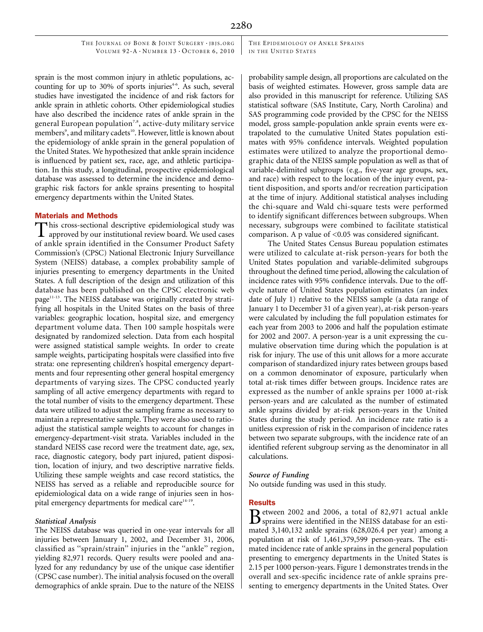THE EPIDEMIOLOGY OF ANKLE SPRAINS IN THE UNITED STATES

sprain is the most common injury in athletic populations, accounting for up to 30% of sports injuries $4-6$ . As such, several studies have investigated the incidence of and risk factors for ankle sprain in athletic cohorts. Other epidemiological studies have also described the incidence rates of ankle sprain in the general European population<sup>7,8</sup>, active-duty military service members<sup>9</sup>, and military cadets<sup>10</sup>. However, little is known about the epidemiology of ankle sprain in the general population of the United States. We hypothesized that ankle sprain incidence is influenced by patient sex, race, age, and athletic participation. In this study, a longitudinal, prospective epidemiological database was assessed to determine the incidence and demographic risk factors for ankle sprains presenting to hospital emergency departments within the United States.

## Materials and Methods

This cross-sectional descriptive epidemiological study was approved by our institutional review board. We used cases of ankle sprain identified in the Consumer Product Safety Commission's (CPSC) National Electronic Injury Surveillance System (NEISS) database, a complex probability sample of injuries presenting to emergency departments in the United States. A full description of the design and utilization of this database has been published on the CPSC electronic web page<sup>11-13</sup>. The NEISS database was originally created by stratifying all hospitals in the United States on the basis of three variables: geographic location, hospital size, and emergency department volume data. Then 100 sample hospitals were designated by randomized selection. Data from each hospital were assigned statistical sample weights. In order to create sample weights, participating hospitals were classified into five strata: one representing children's hospital emergency departments and four representing other general hospital emergency departments of varying sizes. The CPSC conducted yearly sampling of all active emergency departments with regard to the total number of visits to the emergency department. These data were utilized to adjust the sampling frame as necessary to maintain a representative sample. They were also used to ratioadjust the statistical sample weights to account for changes in emergency-department-visit strata. Variables included in the standard NEISS case record were the treatment date, age, sex, race, diagnostic category, body part injured, patient disposition, location of injury, and two descriptive narrative fields. Utilizing these sample weights and case record statistics, the NEISS has served as a reliable and reproducible source for epidemiological data on a wide range of injuries seen in hospital emergency departments for medical care<sup>14-19</sup>.

# Statistical Analysis

The NEISS database was queried in one-year intervals for all injuries between January 1, 2002, and December 31, 2006, classified as ''sprain/strain'' injuries in the ''ankle'' region, yielding 82,971 records. Query results were pooled and analyzed for any redundancy by use of the unique case identifier (CPSC case number). The initial analysis focused on the overall demographics of ankle sprain. Due to the nature of the NEISS probability sample design, all proportions are calculated on the basis of weighted estimates. However, gross sample data are also provided in this manuscript for reference. Utilizing SAS statistical software (SAS Institute, Cary, North Carolina) and SAS programming code provided by the CPSC for the NEISS model, gross sample-population ankle sprain events were extrapolated to the cumulative United States population estimates with 95% confidence intervals. Weighted population estimates were utilized to analyze the proportional demographic data of the NEISS sample population as well as that of variable-delimited subgroups (e.g., five-year age groups, sex, and race) with respect to the location of the injury event, patient disposition, and sports and/or recreation participation at the time of injury. Additional statistical analyses including the chi-square and Wald chi-square tests were performed to identify significant differences between subgroups. When necessary, subgroups were combined to facilitate statistical comparison. A p value of <0.05 was considered significant.

The United States Census Bureau population estimates were utilized to calculate at-risk person-years for both the United States population and variable-delimited subgroups throughout the defined time period, allowing the calculation of incidence rates with 95% confidence intervals. Due to the offcycle nature of United States population estimates (an index date of July 1) relative to the NEISS sample (a data range of January 1 to December 31 of a given year), at-risk person-years were calculated by including the full population estimates for each year from 2003 to 2006 and half the population estimate for 2002 and 2007. A person-year is a unit expressing the cumulative observation time during which the population is at risk for injury. The use of this unit allows for a more accurate comparison of standardized injury rates between groups based on a common denominator of exposure, particularly when total at-risk times differ between groups. Incidence rates are expressed as the number of ankle sprains per 1000 at-risk person-years and are calculated as the number of estimated ankle sprains divided by at-risk person-years in the United States during the study period. An incidence rate ratio is a unitless expression of risk in the comparison of incidence rates between two separate subgroups, with the incidence rate of an identified referent subgroup serving as the denominator in all calculations.

## Source of Funding

No outside funding was used in this study.

## Results

Between 2002 and 2006, a total of 82,971 actual ankle sprains were identified in the NEISS database for an estimated 3,140,132 ankle sprains (628,026.4 per year) among a population at risk of 1,461,379,599 person-years. The estimated incidence rate of ankle sprains in the general population presenting to emergency departments in the United States is 2.15 per 1000 person-years. Figure 1 demonstrates trends in the overall and sex-specific incidence rate of ankle sprains presenting to emergency departments in the United States. Over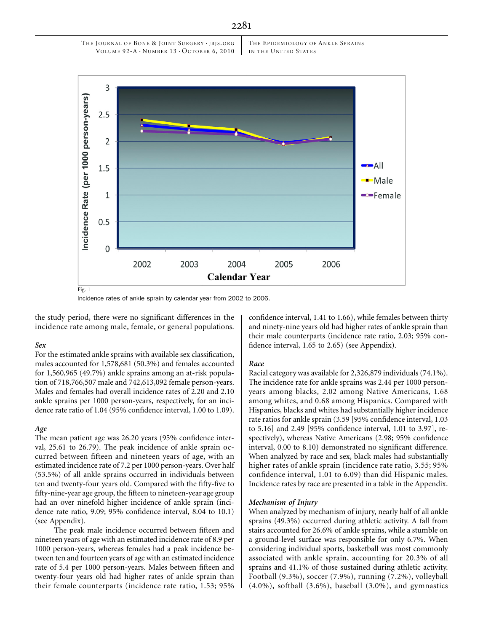THE EPIDEMIOLOGY OF ANKLE SPRAINS IN THE UNITED STATES



Incidence rates of ankle sprain by calendar year from 2002 to 2006.

the study period, there were no significant differences in the incidence rate among male, female, or general populations.

# Sex

For the estimated ankle sprains with available sex classification, males accounted for 1,578,681 (50.3%) and females accounted for 1,560,965 (49.7%) ankle sprains among an at-risk population of 718,766,507 male and 742,613,092 female person-years. Males and females had overall incidence rates of 2.20 and 2.10 ankle sprains per 1000 person-years, respectively, for an incidence rate ratio of 1.04 (95% confidence interval, 1.00 to 1.09).

## Age

The mean patient age was 26.20 years (95% confidence interval, 25.61 to 26.79). The peak incidence of ankle sprain occurred between fifteen and nineteen years of age, with an estimated incidence rate of 7.2 per 1000 person-years. Over half (53.5%) of all ankle sprains occurred in individuals between ten and twenty-four years old. Compared with the fifty-five to fifty-nine-year age group, the fifteen to nineteen-year age group had an over ninefold higher incidence of ankle sprain (incidence rate ratio, 9.09; 95% confidence interval, 8.04 to 10.1) (see Appendix).

The peak male incidence occurred between fifteen and nineteen years of age with an estimated incidence rate of 8.9 per 1000 person-years, whereas females had a peak incidence between ten and fourteen years of age with an estimated incidence rate of 5.4 per 1000 person-years. Males between fifteen and twenty-four years old had higher rates of ankle sprain than their female counterparts (incidence rate ratio, 1.53; 95% confidence interval, 1.41 to 1.66), while females between thirty and ninety-nine years old had higher rates of ankle sprain than their male counterparts (incidence rate ratio, 2.03; 95% confidence interval, 1.65 to 2.65) (see Appendix).

#### Race

Racial category was available for 2,326,879 individuals (74.1%). The incidence rate for ankle sprains was 2.44 per 1000 personyears among blacks, 2.02 among Native Americans, 1.68 among whites, and 0.68 among Hispanics. Compared with Hispanics, blacks and whites had substantially higher incidence rate ratios for ankle sprain (3.59 [95% confidence interval, 1.03 to 5.16] and 2.49 [95% confidence interval, 1.01 to 3.97], respectively), whereas Native Americans (2.98; 95% confidence interval, 0.00 to 8.10) demonstrated no significant difference. When analyzed by race and sex, black males had substantially higher rates of ankle sprain (incidence rate ratio, 3.55; 95% confidence interval, 1.01 to 6.09) than did Hispanic males. Incidence rates by race are presented in a table in the Appendix.

# Mechanism of Injury

When analyzed by mechanism of injury, nearly half of all ankle sprains (49.3%) occurred during athletic activity. A fall from stairs accounted for 26.6% of ankle sprains, while a stumble on a ground-level surface was responsible for only 6.7%. When considering individual sports, basketball was most commonly associated with ankle sprain, accounting for 20.3% of all sprains and 41.1% of those sustained during athletic activity. Football (9.3%), soccer (7.9%), running (7.2%), volleyball (4.0%), softball (3.6%), baseball (3.0%), and gymnastics

2281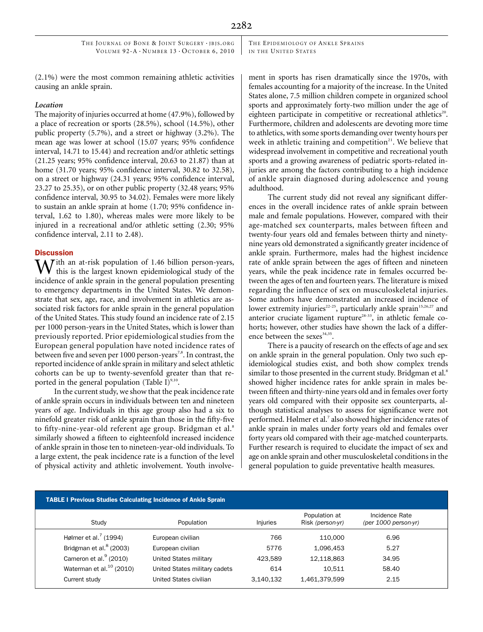THE EPIDEMIOLOGY OF ANKLE SPRAINS IN THE UNITED STATES

(2.1%) were the most common remaining athletic activities causing an ankle sprain.

# Location

The majority of injuries occurred at home (47.9%), followed by a place of recreation or sports (28.5%), school (14.5%), other public property (5.7%), and a street or highway (3.2%). The mean age was lower at school (15.07 years; 95% confidence interval, 14.71 to 15.44) and recreation and/or athletic settings (21.25 years; 95% confidence interval, 20.63 to 21.87) than at home (31.70 years; 95% confidence interval, 30.82 to 32.58), on a street or highway (24.31 years; 95% confidence interval, 23.27 to 25.35), or on other public property (32.48 years; 95% confidence interval, 30.95 to 34.02). Females were more likely to sustain an ankle sprain at home (1.70; 95% confidence interval, 1.62 to 1.80), whereas males were more likely to be injured in a recreational and/or athletic setting (2.30; 95% confidence interval, 2.11 to 2.48).

### **Discussion**

With an at-risk population of 1.46 billion person-years,<br>this is the largest known epidemiological study of the incidence of ankle sprain in the general population presenting to emergency departments in the United States. We demonstrate that sex, age, race, and involvement in athletics are associated risk factors for ankle sprain in the general population of the United States. This study found an incidence rate of 2.15 per 1000 person-years in the United States, which is lower than previously reported. Prior epidemiological studies from the European general population have noted incidence rates of between five and seven per 1000 person-years<sup>7,8</sup>. In contrast, the reported incidence of ankle sprain in military and select athletic cohorts can be up to twenty-sevenfold greater than that reported in the general population (Table I) $9,10$ .

In the current study, we show that the peak incidence rate of ankle sprain occurs in individuals between ten and nineteen years of age. Individuals in this age group also had a six to ninefold greater risk of ankle sprain than those in the fifty-five to fifty-nine-year-old referent age group. Bridgman et al.<sup>8</sup> similarly showed a fifteen to eighteenfold increased incidence of ankle sprain in those ten to nineteen-year-old individuals. To a large extent, the peak incidence rate is a function of the level of physical activity and athletic involvement. Youth involvement in sports has risen dramatically since the 1970s, with females accounting for a majority of the increase. In the United States alone, 7.5 million children compete in organized school sports and approximately forty-two million under the age of eighteen participate in competitive or recreational athletics<sup>20</sup>. Furthermore, children and adolescents are devoting more time to athletics, with some sports demanding over twenty hours per week in athletic training and competition $2<sup>1</sup>$ . We believe that widespread involvement in competitive and recreational youth sports and a growing awareness of pediatric sports-related injuries are among the factors contributing to a high incidence of ankle sprain diagnosed during adolescence and young adulthood.

The current study did not reveal any significant differences in the overall incidence rates of ankle sprain between male and female populations. However, compared with their age-matched sex counterparts, males between fifteen and twenty-four years old and females between thirty and ninetynine years old demonstrated a significantly greater incidence of ankle sprain. Furthermore, males had the highest incidence rate of ankle sprain between the ages of fifteen and nineteen years, while the peak incidence rate in females occurred between the ages of ten and fourteen years. The literature is mixed regarding the influence of sex on musculoskeletal injuries. Some authors have demonstrated an increased incidence of lower extremity injuries<sup>22-25</sup>, particularly ankle sprain<sup>15,26,27</sup> and anterior cruciate ligament rupture<sup>28-33</sup>, in athletic female cohorts; however, other studies have shown the lack of a difference between the sexes<sup>34,35</sup>.

There is a paucity of research on the effects of age and sex on ankle sprain in the general population. Only two such epidemiological studies exist, and both show complex trends similar to those presented in the current study. Bridgman et al.<sup>8</sup> showed higher incidence rates for ankle sprain in males between fifteen and thirty-nine years old and in females over forty years old compared with their opposite sex counterparts, although statistical analyses to assess for significance were not performed. Hølmer et al.<sup>7</sup> also showed higher incidence rates of ankle sprain in males under forty years old and females over forty years old compared with their age-matched counterparts. Further research is required to elucidate the impact of sex and age on ankle sprain and other musculoskeletal conditions in the general population to guide preventative health measures.

| <b>TABLE I Previous Studies Calculating Incidence of Ankle Sprain</b> |                               |           |                                   |                                        |
|-----------------------------------------------------------------------|-------------------------------|-----------|-----------------------------------|----------------------------------------|
| Study                                                                 | Population                    | Injuries  | Population at<br>Risk (person-yr) | Incidence Rate<br>(per 1000 person-yr) |
| Hølmer et al. $^7$ (1994)                                             | European civilian             | 766       | 110,000                           | 6.96                                   |
| Bridgman et al. <sup>8</sup> (2003)                                   | European civilian             | 5776      | 1,096,453                         | 5.27                                   |
| Cameron et al. <sup>9</sup> (2010)                                    | United States military        | 423.589   | 12,118,863                        | 34.95                                  |
| Waterman et al. $^{10}$ (2010)                                        | United States military cadets | 614       | 10.511                            | 58.40                                  |
| Current study                                                         | United States civilian        | 3.140.132 | 1,461,379,599                     | 2.15                                   |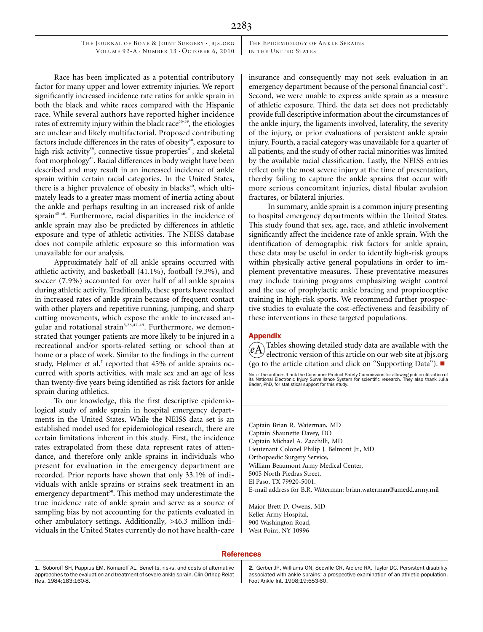THE EPIDEMIOLOGY OF ANKLE SPRAINS IN THE UNITED STATES

Race has been implicated as a potential contributory factor for many upper and lower extremity injuries. We report significantly increased incidence rate ratios for ankle sprain in both the black and white races compared with the Hispanic race. While several authors have reported higher incidence rates of extremity injury within the black race<sup>36-39</sup>, the etiologies are unclear and likely multifactorial. Proposed contributing factors include differences in the rates of obesity $40$ , exposure to high-risk activity<sup>39</sup>, connective tissue properties<sup>41</sup>, and skeletal foot morphology<sup>42</sup>. Racial differences in body weight have been described and may result in an increased incidence of ankle sprain within certain racial categories. In the United States, there is a higher prevalence of obesity in blacks<sup>40</sup>, which ultimately leads to a greater mass moment of inertia acting about the ankle and perhaps resulting in an increased risk of ankle sprain<sup>43-46</sup>. Furthermore, racial disparities in the incidence of ankle sprain may also be predicted by differences in athletic exposure and type of athletic activities. The NEISS database does not compile athletic exposure so this information was unavailable for our analysis.

Approximately half of all ankle sprains occurred with athletic activity, and basketball (41.1%), football (9.3%), and soccer (7.9%) accounted for over half of all ankle sprains during athletic activity. Traditionally, these sports have resulted in increased rates of ankle sprain because of frequent contact with other players and repetitive running, jumping, and sharp cutting movements, which expose the ankle to increased angular and rotational strain<sup>5,26,47-49</sup>. Furthermore, we demonstrated that younger patients are more likely to be injured in a recreational and/or sports-related setting or school than at home or a place of work. Similar to the findings in the current study, Hølmer et al.<sup>7</sup> reported that 45% of ankle sprains occurred with sports activities, with male sex and an age of less than twenty-five years being identified as risk factors for ankle sprain during athletics.

To our knowledge, this the first descriptive epidemiological study of ankle sprain in hospital emergency departments in the United States. While the NEISS data set is an established model used for epidemiological research, there are certain limitations inherent in this study. First, the incidence rates extrapolated from these data represent rates of attendance, and therefore only ankle sprains in individuals who present for evaluation in the emergency department are recorded. Prior reports have shown that only 33.1% of individuals with ankle sprains or strains seek treatment in an emergency department<sup>50</sup>. This method may underestimate the true incidence rate of ankle sprain and serve as a source of sampling bias by not accounting for the patients evaluated in other ambulatory settings. Additionally, >46.3 million individuals in the United States currently do not have health-care insurance and consequently may not seek evaluation in an emergency department because of the personal financial cost<sup>51</sup>. Second, we were unable to express ankle sprain as a measure of athletic exposure. Third, the data set does not predictably provide full descriptive information about the circumstances of the ankle injury, the ligaments involved, laterality, the severity of the injury, or prior evaluations of persistent ankle sprain injury. Fourth, a racial category was unavailable for a quarter of all patients, and the study of other racial minorities was limited by the available racial classification. Lastly, the NEISS entries reflect only the most severe injury at the time of presentation, thereby failing to capture the ankle sprains that occur with more serious concomitant injuries, distal fibular avulsion fractures, or bilateral injuries.

In summary, ankle sprain is a common injury presenting to hospital emergency departments within the United States. This study found that sex, age, race, and athletic involvement significantly affect the incidence rate of ankle sprain. With the identification of demographic risk factors for ankle sprain, these data may be useful in order to identify high-risk groups within physically active general populations in order to implement preventative measures. These preventative measures may include training programs emphasizing weight control and the use of prophylactic ankle bracing and proprioceptive training in high-risk sports. We recommend further prospective studies to evaluate the cost-effectiveness and feasibility of these interventions in these targeted populations.

## Appendix

 $(\widehat{eA})$  Tables showing detailed study data are available with the electronic version of this article on our web site at jbjs.org (go to the article citation and click on "Supporting Data").  $\blacksquare$ 

Norε: The authors thank the Consumer Product Safety Commission for allowing public utilization of<br>its National Electronic Injury Surveillance System for scientific research. They also thank Julia<br>Bader, PhD, for statistica

Captain Brian R. Waterman, MD Captain Shaunette Davey, DO Captain Michael A. Zacchilli, MD Lieutenant Colonel Philip J. Belmont Jr., MD Orthopaedic Surgery Service, William Beaumont Army Medical Center, 5005 North Piedras Street, El Paso, TX 79920-5001. E-mail address for B.R. Waterman: brian.waterman@amedd.army.mil

Major Brett D. Owens, MD Keller Army Hospital, 900 Washington Road, West Point, NY 10996

## **References**

2. Gerber JP, Williams GN, Scoville CR, Arciero RA, Taylor DC. Persistent disability associated with ankle sprains: a prospective examination of an athletic population. Foot Ankle Int. 1998;19:653-60.

<sup>1.</sup> Soboroff SH, Pappius EM, Komaroff AL. Benefits, risks, and costs of alternative approaches to the evaluation and treatment of severe ankle sprain. Clin Orthop Relat Res. 1984;183:160-8.